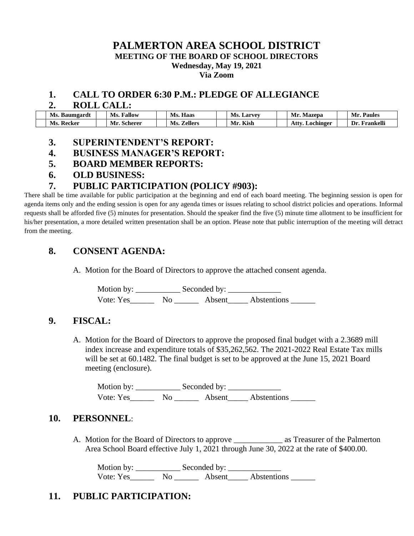# **PALMERTON AREA SCHOOL DISTRICT**

**MEETING OF THE BOARD OF SCHOOL DIRECTORS**

**Wednesday, May 19, 2021**

**Via Zoom**

### **1. CALL TO ORDER 6:30 P.M.: PLEDGE OF ALLEGIANCE**

#### **2. ROLL CALL:**

| Ms.         | Fallow  | Ms.     | Ms.    | Mr.          | Mr.       |
|-------------|---------|---------|--------|--------------|-----------|
| . Baumgardt | Ms.     | Haas    | Larvey | Mazepa       | Paules    |
| Recker      | Mr.     | Ms.     | Kish   | Atty         | Frankelli |
| Ms.         | Scherer | Zellers | Mr     | '. Lochinger | Dr        |

### **3. SUPERINTENDENT'S REPORT:**

- **4. BUSINESS MANAGER'S REPORT:**
- **5. BOARD MEMBER REPORTS:**
- **6. OLD BUSINESS:**

### **7. PUBLIC PARTICIPATION (POLICY #903):**

There shall be time available for public participation at the beginning and end of each board meeting. The beginning session is open for agenda items only and the ending session is open for any agenda times or issues relating to school district policies and operations. Informal requests shall be afforded five (5) minutes for presentation. Should the speaker find the five (5) minute time allotment to be insufficient for his/her presentation, a more detailed written presentation shall be an option. Please note that public interruption of the meeting will detract from the meeting.

### **8. CONSENT AGENDA:**

A. Motion for the Board of Directors to approve the attached consent agenda.

Motion by: \_\_\_\_\_\_\_\_\_\_\_ Seconded by: \_\_\_\_\_\_\_\_\_\_\_\_\_ Vote: Yes\_\_\_\_\_\_ No \_\_\_\_\_\_ Absent\_\_\_\_\_ Abstentions \_\_\_\_\_\_

### **9. FISCAL:**

A. Motion for the Board of Directors to approve the proposed final budget with a 2.3689 mill index increase and expenditure totals of \$35,262,562. The 2021-2022 Real Estate Tax mills will be set at 60.1482. The final budget is set to be approved at the June 15, 2021 Board meeting (enclosure).

Motion by: \_\_\_\_\_\_\_\_\_\_\_ Seconded by: \_\_\_\_\_\_\_\_\_\_\_\_\_ Vote: Yes\_\_\_\_\_\_\_\_ No \_\_\_\_\_\_\_\_ Absent\_\_\_\_\_\_ Abstentions \_\_\_\_\_\_\_\_\_\_\_\_\_\_\_\_\_\_\_\_\_\_\_\_\_\_

### **10. PERSONNEL**:

A. Motion for the Board of Directors to approve \_\_\_\_\_\_\_\_\_\_\_\_ as Treasurer of the Palmerton Area School Board effective July 1, 2021 through June 30, 2022 at the rate of \$400.00.

Motion by: \_\_\_\_\_\_\_\_\_\_\_ Seconded by: \_\_\_\_\_\_\_\_\_\_\_\_\_ Vote: Yes\_\_\_\_\_\_\_\_ No \_\_\_\_\_\_\_ Absent\_\_\_\_\_ Abstentions \_\_\_\_\_\_\_

# **11. PUBLIC PARTICIPATION:**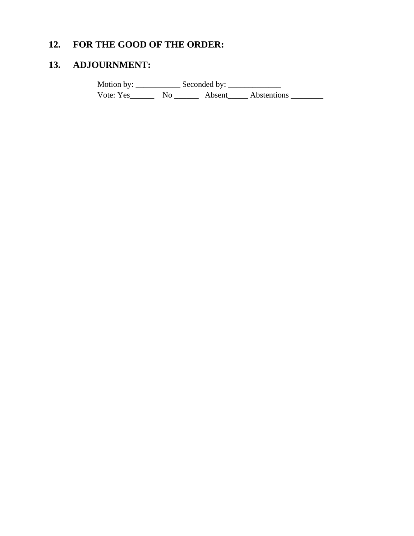# **12. FOR THE GOOD OF THE ORDER:**

# **13. ADJOURNMENT:**

Motion by: \_\_\_\_\_\_\_\_\_\_\_ Seconded by: \_\_\_\_\_\_\_\_\_\_\_\_\_ Vote: Yes\_\_\_\_\_\_\_\_\_ No \_\_\_\_\_\_\_\_\_ Absent\_\_\_\_\_\_ Abstentions \_\_\_\_\_\_\_\_\_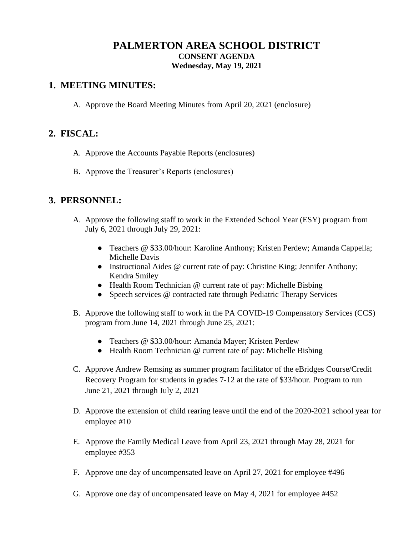### **PALMERTON AREA SCHOOL DISTRICT CONSENT AGENDA Wednesday, May 19, 2021**

### **1. MEETING MINUTES:**

A. Approve the Board Meeting Minutes from April 20, 2021 (enclosure)

## **2. FISCAL:**

- A. Approve the Accounts Payable Reports (enclosures)
- B. Approve the Treasurer's Reports (enclosures)

## **3. PERSONNEL:**

- A. Approve the following staff to work in the Extended School Year (ESY) program from July 6, 2021 through July 29, 2021:
	- Teachers @ \$33.00/hour: Karoline Anthony; Kristen Perdew; Amanda Cappella; Michelle Davis
	- Instructional Aides @ current rate of pay: Christine King; Jennifer Anthony; Kendra Smiley
	- Health Room Technician @ current rate of pay: Michelle Bisbing
	- Speech services @ contracted rate through Pediatric Therapy Services
- B. Approve the following staff to work in the PA COVID-19 Compensatory Services (CCS) program from June 14, 2021 through June 25, 2021:
	- Teachers @ \$33.00/hour: Amanda Mayer; Kristen Perdew
	- Health Room Technician @ current rate of pay: Michelle Bisbing
- C. Approve Andrew Remsing as summer program facilitator of the eBridges Course/Credit Recovery Program for students in grades 7-12 at the rate of \$33/hour. Program to run June 21, 2021 through July 2, 2021
- D. Approve the extension of child rearing leave until the end of the 2020-2021 school year for employee #10
- E. Approve the Family Medical Leave from April 23, 2021 through May 28, 2021 for employee #353
- F. Approve one day of uncompensated leave on April 27, 2021 for employee #496
- G. Approve one day of uncompensated leave on May 4, 2021 for employee #452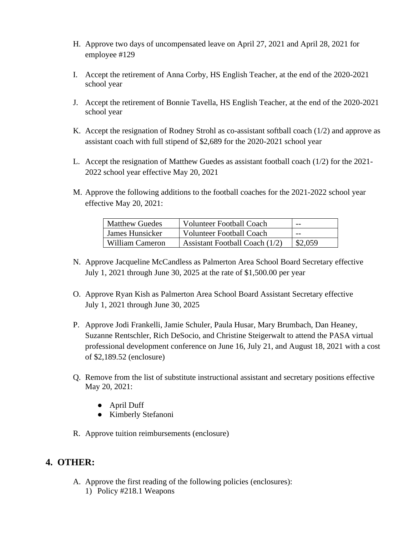- H. Approve two days of uncompensated leave on April 27, 2021 and April 28, 2021 for employee #129
- I. Accept the retirement of Anna Corby, HS English Teacher, at the end of the 2020-2021 school year
- J. Accept the retirement of Bonnie Tavella, HS English Teacher, at the end of the 2020-2021 school year
- K. Accept the resignation of Rodney Strohl as co-assistant softball coach  $(1/2)$  and approve as assistant coach with full stipend of \$2,689 for the 2020-2021 school year
- L. Accept the resignation of Matthew Guedes as assistant football coach (1/2) for the 2021- 2022 school year effective May 20, 2021
- M. Approve the following additions to the football coaches for the 2021-2022 school year effective May 20, 2021:

| <b>Matthew Guedes</b> | <b>Volunteer Football Coach</b>  | $- -$   |
|-----------------------|----------------------------------|---------|
| James Hunsicker       | <b>Volunteer Football Coach</b>  | $- -$   |
| William Cameron       | Assistant Football Coach $(1/2)$ | \$2,059 |

- N. Approve Jacqueline McCandless as Palmerton Area School Board Secretary effective July 1, 2021 through June 30, 2025 at the rate of \$1,500.00 per year
- O. Approve Ryan Kish as Palmerton Area School Board Assistant Secretary effective July 1, 2021 through June 30, 2025
- P. Approve Jodi Frankelli, Jamie Schuler, Paula Husar, Mary Brumbach, Dan Heaney, Suzanne Rentschler, Rich DeSocio, and Christine Steigerwalt to attend the PASA virtual professional development conference on June 16, July 21, and August 18, 2021 with a cost of \$2,189.52 (enclosure)
- Q. Remove from the list of substitute instructional assistant and secretary positions effective May 20, 2021:
	- April Duff
	- Kimberly Stefanoni
- R. Approve tuition reimbursements (enclosure)

# **4. OTHER:**

- A. Approve the first reading of the following policies (enclosures):
	- 1) Policy #218.1 Weapons